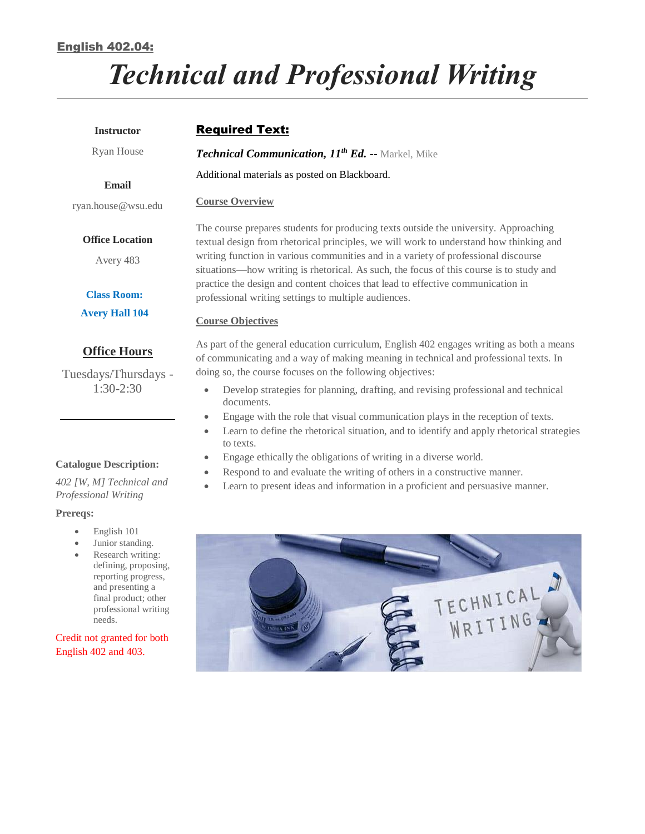## English 402.04:

# *Technical and Professional Writing*

| <b>Instructor</b>                                                                                                                                                                                                                                                       | <b>Required Text:</b>                                                                                                                                                                                                                                                                                                                                                                                                                              |  |  |
|-------------------------------------------------------------------------------------------------------------------------------------------------------------------------------------------------------------------------------------------------------------------------|----------------------------------------------------------------------------------------------------------------------------------------------------------------------------------------------------------------------------------------------------------------------------------------------------------------------------------------------------------------------------------------------------------------------------------------------------|--|--|
| Ryan House                                                                                                                                                                                                                                                              | Technical Communication, 11th Ed. -- Markel, Mike                                                                                                                                                                                                                                                                                                                                                                                                  |  |  |
| Email                                                                                                                                                                                                                                                                   | Additional materials as posted on Blackboard.                                                                                                                                                                                                                                                                                                                                                                                                      |  |  |
| ryan.house@wsu.edu                                                                                                                                                                                                                                                      | <b>Course Overview</b>                                                                                                                                                                                                                                                                                                                                                                                                                             |  |  |
| <b>Office Location</b><br>Avery 483                                                                                                                                                                                                                                     | The course prepares students for producing texts outside the university. Approaching<br>textual design from rhetorical principles, we will work to understand how thinking and<br>writing function in various communities and in a variety of professional discourse<br>situations—how writing is rhetorical. As such, the focus of this course is to study and<br>practice the design and content choices that lead to effective communication in |  |  |
| <b>Class Room:</b><br><b>Avery Hall 104</b>                                                                                                                                                                                                                             | professional writing settings to multiple audiences.                                                                                                                                                                                                                                                                                                                                                                                               |  |  |
|                                                                                                                                                                                                                                                                         | <b>Course Objectives</b>                                                                                                                                                                                                                                                                                                                                                                                                                           |  |  |
| <b>Office Hours</b><br>Tuesdays/Thursdays -<br>$1:30-2:30$                                                                                                                                                                                                              | As part of the general education curriculum, English 402 engages writing as both a means<br>of communicating and a way of making meaning in technical and professional texts. In<br>doing so, the course focuses on the following objectives:                                                                                                                                                                                                      |  |  |
|                                                                                                                                                                                                                                                                         | Develop strategies for planning, drafting, and revising professional and technical<br>$\bullet$<br>documents.<br>Engage with the role that visual communication plays in the reception of texts.<br>$\bullet$<br>Learn to define the rhetorical situation, and to identify and apply rhetorical strategies<br>$\bullet$                                                                                                                            |  |  |
|                                                                                                                                                                                                                                                                         | to texts.<br>Engage ethically the obligations of writing in a diverse world.<br>$\bullet$                                                                                                                                                                                                                                                                                                                                                          |  |  |
| <b>Catalogue Description:</b><br>402 [W, M] Technical and<br>Professional Writing                                                                                                                                                                                       | Respond to and evaluate the writing of others in a constructive manner.<br>Learn to present ideas and information in a proficient and persuasive manner.                                                                                                                                                                                                                                                                                           |  |  |
| Prereqs:                                                                                                                                                                                                                                                                |                                                                                                                                                                                                                                                                                                                                                                                                                                                    |  |  |
| English 101<br>$\bullet$<br>Junior standing.<br>۰<br>Research writing:<br>$\bullet$<br>defining, proposing,<br>reporting progress,<br>and presenting a<br>final product; other<br>professional writing<br>needs.<br>Credit not granted for both<br>English 402 and 403. | TECHNICAL<br>Il Thursday<br><b>Pennance</b>                                                                                                                                                                                                                                                                                                                                                                                                        |  |  |
|                                                                                                                                                                                                                                                                         |                                                                                                                                                                                                                                                                                                                                                                                                                                                    |  |  |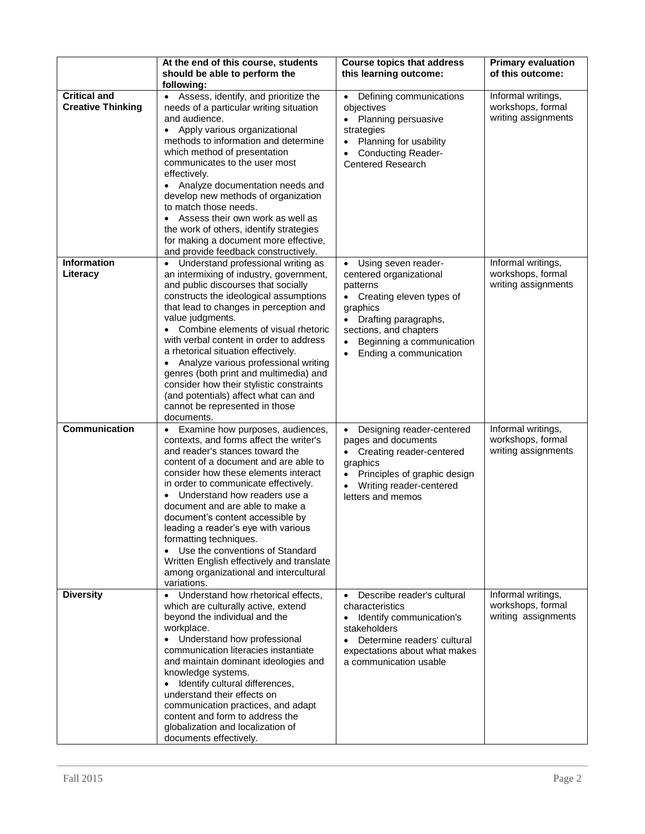|                                                 | At the end of this course, students<br>should be able to perform the<br>following:                                                                                                                                                                                                                                                                                                                                                                                                                                                                                                              | <b>Course topics that address</b><br>this learning outcome:                                                                                                                                                              | <b>Primary evaluation</b><br>of this outcome:                  |
|-------------------------------------------------|-------------------------------------------------------------------------------------------------------------------------------------------------------------------------------------------------------------------------------------------------------------------------------------------------------------------------------------------------------------------------------------------------------------------------------------------------------------------------------------------------------------------------------------------------------------------------------------------------|--------------------------------------------------------------------------------------------------------------------------------------------------------------------------------------------------------------------------|----------------------------------------------------------------|
| <b>Critical and</b><br><b>Creative Thinking</b> | Assess, identify, and prioritize the<br>needs of a particular writing situation<br>and audience.<br>Apply various organizational<br>$\bullet$<br>methods to information and determine<br>which method of presentation<br>communicates to the user most<br>effectively.<br>Analyze documentation needs and<br>$\bullet$<br>develop new methods of organization<br>to match those needs.<br>Assess their own work as well as<br>the work of others, identify strategies<br>for making a document more effective,<br>and provide feedback constructively.                                          | Defining communications<br>$\bullet$<br>objectives<br>Planning persuasive<br>$\bullet$<br>strategies<br>Planning for usability<br><b>Conducting Reader-</b><br><b>Centered Research</b>                                  | Informal writings,<br>workshops, formal<br>writing assignments |
| <b>Information</b><br>Literacy                  | Understand professional writing as<br>an intermixing of industry, government,<br>and public discourses that socially<br>constructs the ideological assumptions<br>that lead to changes in perception and<br>value judgments.<br>• Combine elements of visual rhetoric<br>with verbal content in order to address<br>a rhetorical situation effectively.<br>Analyze various professional writing<br>genres (both print and multimedia) and<br>consider how their stylistic constraints<br>(and potentials) affect what can and<br>cannot be represented in those<br>documents.                   | Using seven reader-<br>centered organizational<br>patterns<br>Creating eleven types of<br>graphics<br>Drafting paragraphs,<br>sections, and chapters<br>Beginning a communication<br>$\bullet$<br>Ending a communication | Informal writings,<br>workshops, formal<br>writing assignments |
| Communication                                   | Examine how purposes, audiences,<br>$\bullet$<br>contexts, and forms affect the writer's<br>and reader's stances toward the<br>content of a document and are able to<br>consider how these elements interact<br>in order to communicate effectively.<br>Understand how readers use a<br>$\bullet$<br>document and are able to make a<br>document's content accessible by<br>leading a reader's eye with various<br>formatting techniques.<br>Use the conventions of Standard<br>$\bullet$<br>Written English effectively and translate<br>among organizational and intercultural<br>variations. | Designing reader-centered<br>$\bullet$<br>pages and documents<br>Creating reader-centered<br>graphics<br>Principles of graphic design<br>Writing reader-centered<br>letters and memos                                    | Informal writings,<br>workshops, formal<br>writing assignments |
| <b>Diversity</b>                                | Understand how rhetorical effects,<br>$\bullet$<br>which are culturally active, extend<br>beyond the individual and the<br>workplace.<br>Understand how professional<br>communication literacies instantiate<br>and maintain dominant ideologies and<br>knowledge systems.<br>Identify cultural differences,<br>understand their effects on<br>communication practices, and adapt<br>content and form to address the<br>globalization and localization of<br>documents effectively.                                                                                                             | Describe reader's cultural<br>characteristics<br>Identify communication's<br>$\bullet$<br>stakeholders<br>Determine readers' cultural<br>expectations about what makes<br>a communication usable                         | Informal writings,<br>workshops, formal<br>writing assignments |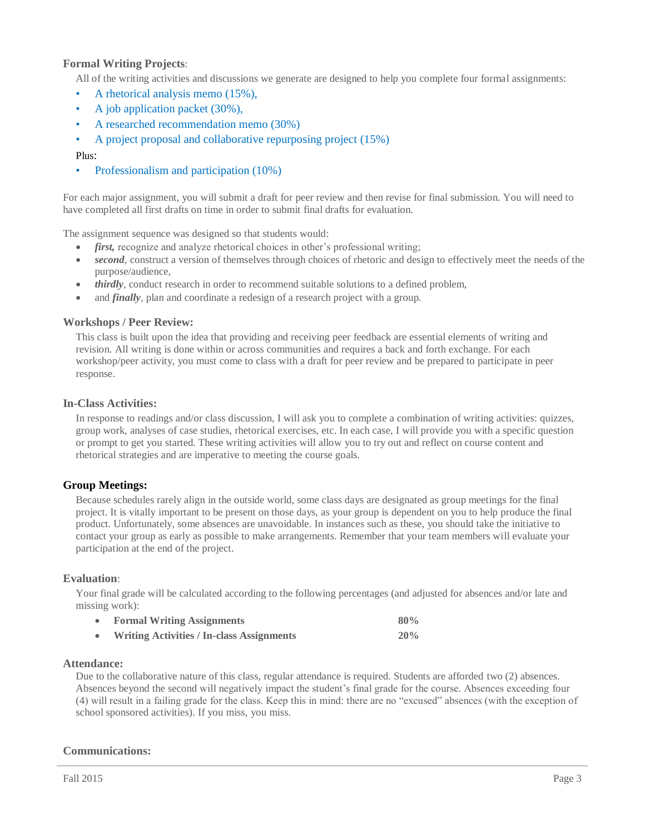### **Formal Writing Projects**:

All of the writing activities and discussions we generate are designed to help you complete four formal assignments:

- A rhetorical analysis memo (15%),
- A job application packet (30%),
- A researched recommendation memo (30%)
- A project proposal and collaborative repurposing project (15%)
- Plus:
- Professionalism and participation (10%)

For each major assignment, you will submit a draft for peer review and then revise for final submission. You will need to have completed all first drafts on time in order to submit final drafts for evaluation.

The assignment sequence was designed so that students would:

- *first*, recognize and analyze rhetorical choices in other's professional writing;
- *second*, construct a version of themselves through choices of rhetoric and design to effectively meet the needs of the purpose/audience,
- *thirdly*, conduct research in order to recommend suitable solutions to a defined problem,
- and *finally*, plan and coordinate a redesign of a research project with a group.

#### **Workshops / Peer Review:**

This class is built upon the idea that providing and receiving peer feedback are essential elements of writing and revision. All writing is done within or across communities and requires a back and forth exchange. For each workshop/peer activity, you must come to class with a draft for peer review and be prepared to participate in peer response.

#### **In-Class Activities:**

In response to readings and/or class discussion, I will ask you to complete a combination of writing activities: quizzes, group work, analyses of case studies, rhetorical exercises, etc. In each case, I will provide you with a specific question or prompt to get you started. These writing activities will allow you to try out and reflect on course content and rhetorical strategies and are imperative to meeting the course goals.

#### **Group Meetings:**

Because schedules rarely align in the outside world, some class days are designated as group meetings for the final project. It is vitally important to be present on those days, as your group is dependent on you to help produce the final product. Unfortunately, some absences are unavoidable. In instances such as these, you should take the initiative to contact your group as early as possible to make arrangements. Remember that your team members will evaluate your participation at the end of the project.

#### **Evaluation**:

Your final grade will be calculated according to the following percentages (and adjusted for absences and/or late and missing work):

| <b>Formal Writing Assignments</b>                | 80% |
|--------------------------------------------------|-----|
| <b>Writing Activities / In-class Assignments</b> | 20% |

#### **Attendance:**

Due to the collaborative nature of this class, regular attendance is required. Students are afforded two (2) absences. Absences beyond the second will negatively impact the student's final grade for the course. Absences exceeding four (4) will result in a failing grade for the class. Keep this in mind: there are no "excused" absences (with the exception of school sponsored activities). If you miss, you miss.

#### **Communications:**